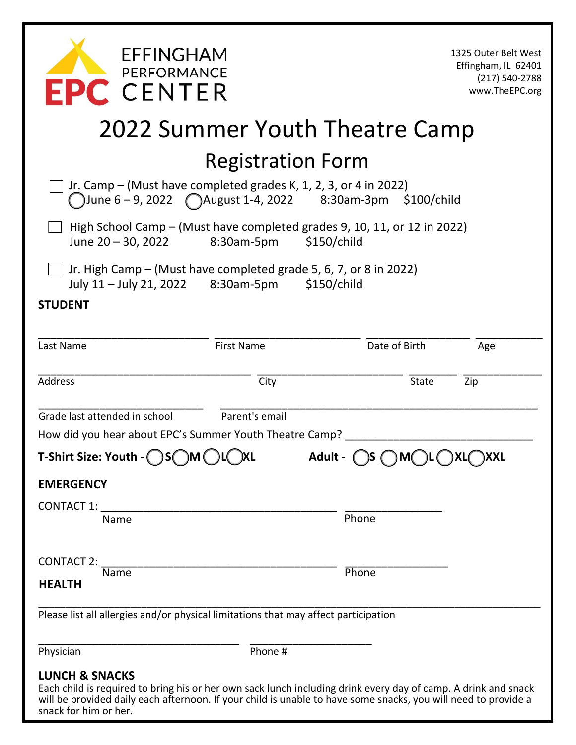| <b>EFFINGHAM</b><br>PERFORMANCE<br><b>CENTER</b>                                                                                                                                                                                                                                       |                   |               | 1325 Outer Belt West<br>Effingham, IL 62401<br>(217) 540-2788<br>www.TheEPC.org |  |
|----------------------------------------------------------------------------------------------------------------------------------------------------------------------------------------------------------------------------------------------------------------------------------------|-------------------|---------------|---------------------------------------------------------------------------------|--|
| 2022 Summer Youth Theatre Camp                                                                                                                                                                                                                                                         |                   |               |                                                                                 |  |
| <b>Registration Form</b>                                                                                                                                                                                                                                                               |                   |               |                                                                                 |  |
| Jr. Camp $-$ (Must have completed grades K, 1, 2, 3, or 4 in 2022)<br>June 6-9, 2022 ( ) August 1-4, 2022 8:30am-3pm \$100/child                                                                                                                                                       |                   |               |                                                                                 |  |
| High School Camp - (Must have completed grades 9, 10, 11, or 12 in 2022)<br>June 20 - 30, 2022<br>8:30am-5pm<br>\$150/child                                                                                                                                                            |                   |               |                                                                                 |  |
| Jr. High Camp – (Must have completed grade 5, 6, 7, or 8 in 2022)<br>July 11 - July 21, 2022 8:30am-5pm                                                                                                                                                                                |                   | \$150/child   |                                                                                 |  |
| <b>STUDENT</b>                                                                                                                                                                                                                                                                         |                   |               |                                                                                 |  |
| Last Name                                                                                                                                                                                                                                                                              | <b>First Name</b> | Date of Birth | Age                                                                             |  |
| <b>Address</b>                                                                                                                                                                                                                                                                         | City              | State         | Zip                                                                             |  |
| Grade last attended in school                                                                                                                                                                                                                                                          | Parent's email    |               |                                                                                 |  |
| How did you hear about EPC's Summer Youth Theatre Camp?<br>T-Shirt Size: Youth - $\bigcirc$ S $\bigcirc$ M $\bigcirc$ L $\bigcirc$ XL $\qquad \qquad$ Adult - $\bigcirc$ S $\bigcirc$ M $\bigcirc$ L $\bigcirc$ XL $\bigcirc$ XXL                                                      |                   |               |                                                                                 |  |
| <b>EMERGENCY</b>                                                                                                                                                                                                                                                                       |                   |               |                                                                                 |  |
| <b>CONTACT 1:</b>                                                                                                                                                                                                                                                                      |                   |               |                                                                                 |  |
| Name                                                                                                                                                                                                                                                                                   |                   | Phone         |                                                                                 |  |
| CONTACT 2:                                                                                                                                                                                                                                                                             |                   |               |                                                                                 |  |
| Name<br><b>HEALTH</b>                                                                                                                                                                                                                                                                  |                   | Phone         |                                                                                 |  |
| Please list all allergies and/or physical limitations that may affect participation                                                                                                                                                                                                    |                   |               |                                                                                 |  |
| Physician                                                                                                                                                                                                                                                                              | Phone #           |               |                                                                                 |  |
| <b>LUNCH &amp; SNACKS</b><br>Each child is required to bring his or her own sack lunch including drink every day of camp. A drink and snack<br>will be provided daily each afternoon. If your child is unable to have some snacks, you will need to provide a<br>snack for him or her. |                   |               |                                                                                 |  |